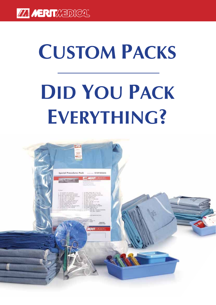# **Custom Packs Did You Pack Everything?**

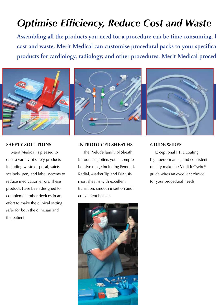# *Optimise Efficiency, Reduce Cost and Waste*

Assembling all the products you need for a procedure can be time consuming. I cost and waste. Merit Medical can customise procedural packs to your specifica products for cardiology, radiology, and other procedures. Merit Medical proced



#### **Safety Solutions**

Merit Medical is pleased to offer a variety of safety products including waste disposal, safety scalpels, pen, and label systems to reduce medication errors. These products have been designed to complement other devices in an effort to make the clinical setting safer for both the clinician and the patient.

#### **INTRODUCER Sheaths**

The Prelude family of Sheath Introducers, offers you a comprehensive range including Femoral, Radial, Marker Tip and Dialysis short sheaths with excellent transition, smooth insertion and convenient holster.



#### **Guide Wires**

Exceptional PTFE coating, high performance, and consistent quality make the Merit InQwire® guide wires an excellent choice for your procedural needs.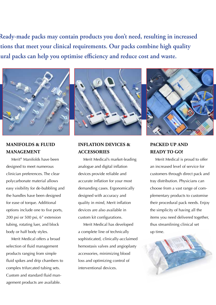Ready-made packs may contain products you don't need, resulting in increased tions that meet your clinical requirements. Our packs combine high quality lural packs can help you optimise efficiency and reduce cost and waste.



#### **Manifolds & Fluid Management**

Merit® Manifolds have been designed to meet numerous clinician preferences. The clear polycarbonate material allows easy visibility for de-bubbling and the handles have been designed for ease of torque. Additional options include one to five ports, 200 psi or 500 psi, 6" extension tubing, rotating luer, and block body or half body styles.

Merit Medical offers a broad selection of fluid management products ranging from simple fluid spikes and drip chambers to complex trifurcated tubing sets. Custom and standard fluid management products are available.



#### **Inflation Devices & Accessories**

Merit Medical's market-leading analogue and digital inflation devices provide reliable and accurate inflation for your most demanding cases. Ergonomically designed with accuracy and quality in mind, Merit inflation devices are also available in custom kit configurations.

Merit Medical has developed a complete line of technically sophisticated, clinically-acclaimed hemostasis valves and angioplasty accessories, minimizing blood loss and optimizing control of interventional devices.



### **Packed Up and Ready to Go!**

Merit Medical is proud to offer an increased level of service for customers through direct pack and tray distribution. Physicians can choose from a vast range of complementary products to customise their procedural pack needs. Enjoy the simplicity of having all the items you need delivered together, thus streamlining clinical set up time.